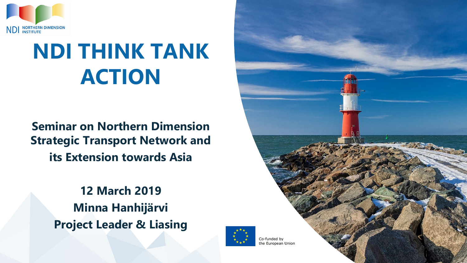

# **NDI THINK TANK ACTION**

**Seminar on Northern Dimension Strategic Transport Network and its Extension towards Asia**

> **12 March 2019 Minna Hanhijärvi Project Leader & Liasing**



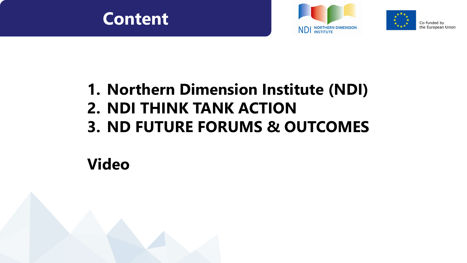





Co-funded by the European Union

### **1. Northern Dimension Institute (NDI)**

- **2. NDI THINK TANK ACTION**
- **3. ND FUTURE FORUMS & OUTCOMES**

### **Video**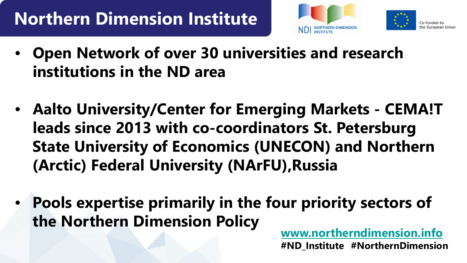## **Northern Dimension Institute**





- **Open Network of over 30 universities and research institutions in the ND area**
- **Aalto University/Center for Emerging Markets - CEMA!T leads since 2013 with co-coordinators St. Petersburg State University of Economics (UNECON) and Northern (Arctic) Federal University (NArFU),Russia**
- **Pools expertise primarily in the four priority sectors of the Northern Dimension Policy [www.northerndimension.info](http://www.northerndimension.info/)**

**#ND\_Institute #NorthernDimension**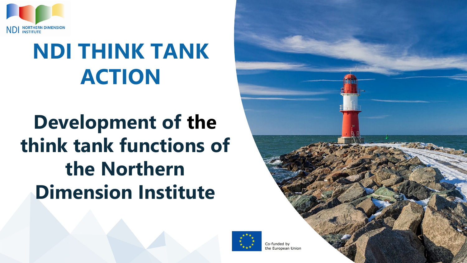

# **NDI THINK TANK ACTION**

# **Development of the think tank functions of the Northern Dimension Institute**

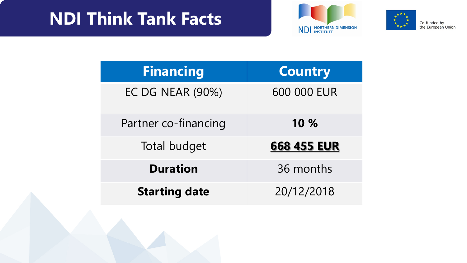### **NDI Think Tank Facts**





Co-funded by<br>the European Union

| <b>Financing</b>        | <b>Country</b> |
|-------------------------|----------------|
| <b>EC DG NEAR (90%)</b> | 600 000 EUR    |
| Partner co-financing    | 10 %           |
| <b>Total budget</b>     | 668 455 EUR    |
| <b>Duration</b>         | 36 months      |
| <b>Starting date</b>    | 20/12/2018     |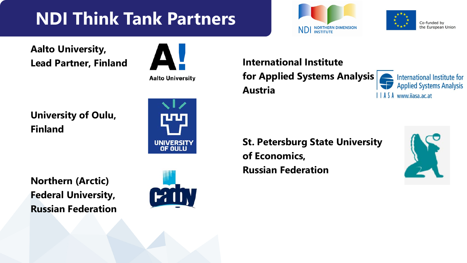## **NDI Think Tank Partners**





**Aalto University, Lead Partner, Finland**



**Aalto University** 

**University of Oulu, Finland**



**Northern (Arctic) Federal University, Russian Federation**



**International Institute for Applied Systems Analysis, Austria**



**St. Petersburg State University of Economics, Russian Federation**

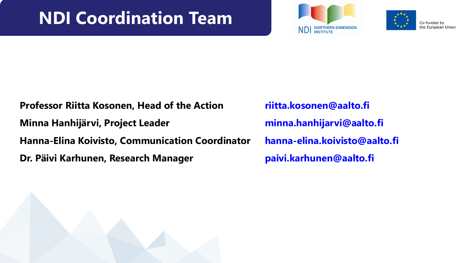### **NDI Coordination Team**





Co-funded by the European Union

**Professor Riitta Kosonen, Head of the Action riitta.kosonen@aalto.fi Minna Hanhijärvi, Project Leader minna.hanhijarvi@aalto.fi Hanna-Elina Koivisto, Communication Coordinator hanna-elina.koivisto@aalto.fi Dr. Päivi Karhunen, Research Manager paivi.karhunen@aalto.fi** 

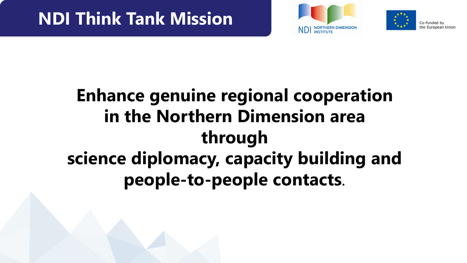



Co-funded by the European Unior

## **Enhance genuine regional cooperation in the Northern Dimension area through science diplomacy, capacity building and people-to-people contacts**.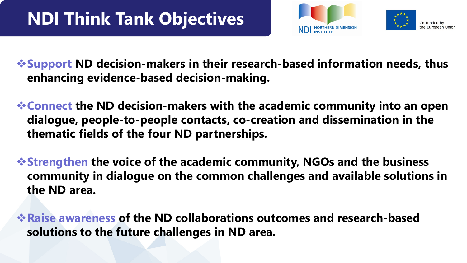



**Support ND decision-makers in their research-based information needs, thus enhancing evidence-based decision-making.**

**Connect the ND decision-makers with the academic community into an open dialogue, people-to-people contacts, co-creation and dissemination in the thematic fields of the four ND partnerships.**

**Strengthen the voice of the academic community, NGOs and the business community in dialogue on the common challenges and available solutions in the ND area.** 

**Raise awareness of the ND collaborations outcomes and research-based solutions to the future challenges in ND area.**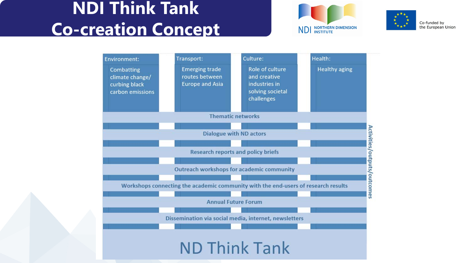### **NDI Think Tank Co-creation Concept**





Co-funded by the European Union

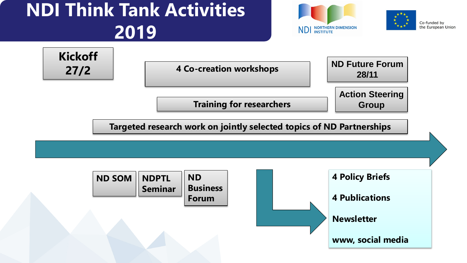## **NDI Think Tank Activities 2019**







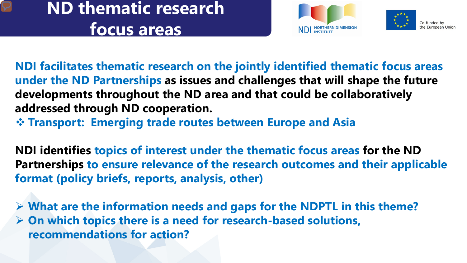### **ND thematic research focus areas**





**NDI facilitates thematic research on the jointly identified thematic focus areas under the ND Partnerships as issues and challenges that will shape the future developments throughout the ND area and that could be collaboratively addressed through ND cooperation.**

**Transport: Emerging trade routes between Europe and Asia** 

**NDI identifies topics of interest under the thematic focus areas for the ND Partnerships to ensure relevance of the research outcomes and their applicable format (policy briefs, reports, analysis, other)**

 **What are the information needs and gaps for the NDPTL in this theme? On which topics there is a need for research-based solutions, recommendations for action?**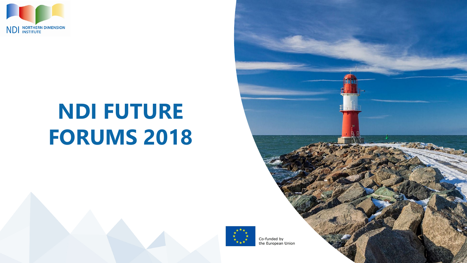

# **NDI FUTURE FORUMS 2018**



Co-funded by the European Union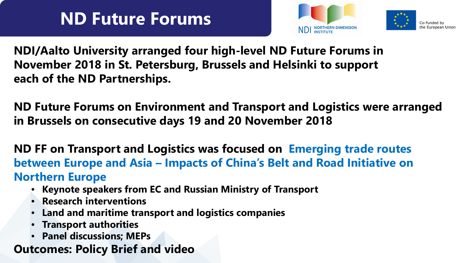## **ND Future Forums**





**NDI/Aalto University arranged four high-level ND Future Forums in November 2018 in St. Petersburg, Brussels and Helsinki to support each of the ND Partnerships.**

**ND Future Forums on Environment and Transport and Logistics were arranged in Brussels on consecutive days 19 and 20 November 2018** 

**ND FF on Transport and Logistics was focused on Emerging trade routes between Europe and Asia – Impacts of China's Belt and Road Initiative on Northern Europe**

- **Keynote speakers from EC and Russian Ministry of Transport**
- **Research interventions**
- **Land and maritime transport and logistics companies**
- **Transport authorities**
- **Panel discussions; MEPs**
- **Outcomes: Policy Brief and video**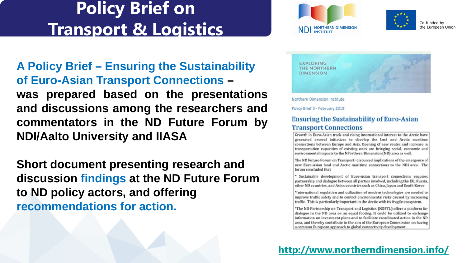



Co-funded by the European Union

**A Policy Brief – Ensuring the Sustainability of Euro-Asian Transport Connections – was prepared based on the presentations and discussions among the researchers and commentators in the ND Future Forum by NDI/Aalto University and IIASA**

**Short document presenting research and discussion findings at the ND Future Forum to ND policy actors, and offering recommendations for action.** 



Northern Dimension Institute

Policy Brief 3 - February 2019

#### **Ensuring the Sustainability of Euro-Asian Transport Connections**

Growth in Euro-Asian trade and rising international interest to the Arctic have generated several initiatives to develop the land and Arctic maritime connections between Europe and Asia. Opening of new routes and increase in transportation capacities of existing ones are bringing social, economic and environmental impacts to the N7orthern Dimension (ND) area as well.

The ND Future Forum on Transport<sup>1</sup> discussed implications of the emergence of new Euro-Asian land and Arctic maritime connections to the NDI area. The forum concluded that

\* Sustainable development of Euro-Asian transport connections requires partnership and dialogue between all parties involved, including the EU, Russia, other ND countries, and Asian countries such as China, Japan and South Korea

\*International regulation and utilization of modern technologies are needed to improve traffic safety and to control environmental risks caused by increasing traffic. This is particularly important in the Arctic with its fragile ecosystem.

\*The ND Partnership on Transport and Logistics (NDPTL) offers a platform for dialogue in the ND area on an equal footing. It could be utilized to exchange information on investment plans and to facilitate coordinated action in the ND area, and thereby contribute to the aim of the European Commission on having a common European approach to global connectivity development.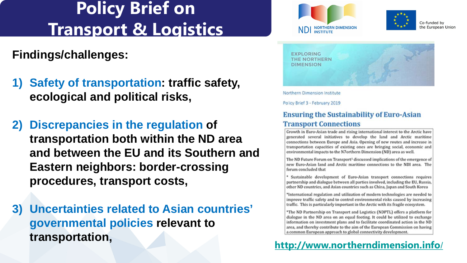### **Findings/challenges:**

- **1) Safety of transportation: traffic safety, ecological and political risks,**
- **2) Discrepancies in the regulation of transportation both within the ND area and between the EU and its Southern and Eastern neighbors: border-crossing procedures, transport costs,**
- **3) Uncertainties related to Asian countries' governmental policies relevant to transportation,**





Co-funded by the European Union



Northern Dimension Institute

Policy Brief 3 - February 2019

#### **Ensuring the Sustainability of Euro-Asian Transport Connections**

Growth in Euro-Asian trade and rising international interest to the Arctic have generated several initiatives to develop the land and Arctic maritime connections between Europe and Asia. Opening of new routes and increase in transportation capacities of existing ones are bringing social, economic and environmental impacts to the N7orthern Dimension (ND) area as well.

The ND Future Forum on Transport<sup>1</sup> discussed implications of the emergence of new Euro-Asian land and Arctic maritime connections to the NDI area. The forum concluded that

\* Sustainable development of Euro-Asian transport connections requires partnership and dialogue between all parties involved, including the EU, Russia, other ND countries, and Asian countries such as China, Japan and South Korea

\*International regulation and utilization of modern technologies are needed to improve traffic safety and to control environmental risks caused by increasing traffic. This is particularly important in the Arctic with its fragile ecosystem.

\*The ND Partnership on Transport and Logistics (NDPTL) offers a platform for dialogue in the ND area on an equal footing. It could be utilized to exchange information on investment plans and to facilitate coordinated action in the ND area, and thereby contribute to the aim of the European Commission on having a common European appreach to global connectivity development.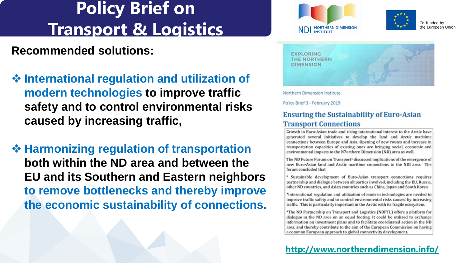### **Recommended solutions:**

- **International regulation and utilization of modern technologies to improve traffic safety and to control environmental risks caused by increasing traffic,**
- **❖ Harmonizing regulation of transportation both within the ND area and between the EU and its Southern and Eastern neighbors to remove bottlenecks and thereby improve the economic sustainability of connections.**





Co-funded by the European Union



Northern Dimension Institute

Policy Brief 3 - February 2019

#### **Ensuring the Sustainability of Euro-Asian Transport Connections**

Growth in Euro-Asian trade and rising international interest to the Arctic have generated several initiatives to develop the land and Arctic maritime connections between Europe and Asia. Opening of new routes and increase in transportation capacities of existing ones are bringing social, economic and environmental impacts to the N7orthern Dimension (ND) area as well.

The ND Future Forum on Transport<sup>1</sup> discussed implications of the emergence of new Euro-Asian land and Arctic maritime connections to the NDI area. The forum concluded that

\* Sustainable development of Euro-Asian transport connections requires partnership and dialogue between all parties involved, including the EU, Russia, other ND countries, and Asian countries such as China, Japan and South Korea

\*International regulation and utilization of modern technologies are needed to improve traffic safety and to control environmental risks caused by increasing traffic. This is particularly important in the Arctic with its fragile ecosystem.

\*The ND Partnership on Transport and Logistics (NDPTL) offers a platform for dialogue in the ND area on an equal footing. It could be utilized to exchange information on investment plans and to facilitate coordinated action in the ND area, and thereby contribute to the aim of the European Commission on having a common European appreach to global connectivity development.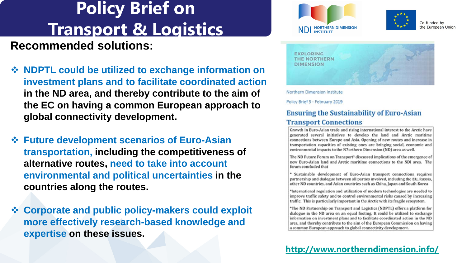### **Recommended solutions:**

- **NDPTL could be utilized to exchange information on investment plans and to facilitate coordinated action in the ND area, and thereby contribute to the aim of the EC on having a common European approach to global connectivity development.**
- **Future development scenarios of Euro-Asian transportation, including the competitiveness of alternative routes, need to take into account environmental and political uncertainties in the countries along the routes.**
- **Corporate and public policy-makers could exploit more effectively research-based knowledge and expertise on these issues.**





Co-funded by the European Union



Northern Dimension Institute

Policy Brief 3 - February 2019

#### **Ensuring the Sustainability of Euro-Asian Transport Connections**

Growth in Euro-Asian trade and rising international interest to the Arctic have generated several initiatives to develop the land and Arctic maritime connections between Europe and Asia. Opening of new routes and increase in transportation capacities of existing ones are bringing social, economic and environmental impacts to the N7orthern Dimension (ND) area as well.

The ND Future Forum on Transport<sup>1</sup> discussed implications of the emergence of new Euro-Asian land and Arctic maritime connections to the NDI area. The forum concluded that

\* Sustainable development of Euro-Asian transport connections requires partnership and dialogue between all parties involved, including the EU, Russia, other ND countries, and Asian countries such as China, Japan and South Korea

\*International regulation and utilization of modern technologies are needed to improve traffic safety and to control environmental risks caused by increasing traffic. This is particularly important in the Arctic with its fragile ecosystem.

\*The ND Partnership on Transport and Logistics (NDPTL) offers a platform for dialogue in the ND area on an equal footing. It could be utilized to exchange information on investment plans and to facilitate coordinated action in the ND area, and thereby contribute to the aim of the European Commission on having a common European appreach to global connectivity development.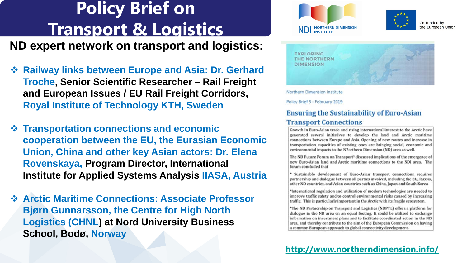**ND expert network on transport and logistics:**

- **☆ Railway links between Europe and Asia: Dr. Gerhard Troche, Senior Scientific Researcher – Rail Freight and European Issues / EU Rail Freight Corridors, Royal Institute of Technology KTH, Sweden**
- **Transportation connections and economic cooperation between the EU, the Eurasian Economic Union, China and other key Asian actors: Dr. Elena Rovenskaya, Program Director, International Institute for Applied Systems Analysis IIASA, Austria**
- **Arctic Maritime Connections: Associate Professor Bjørn Gunnarsson, the Centre for High North Logistics (CHNL) at Nord University Business School, Bodø, Norway**





Co-funded by the European Union



Northern Dimension Institute

Policy Brief 3 - February 2019

#### **Ensuring the Sustainability of Euro-Asian Transport Connections**

Growth in Euro-Asian trade and rising international interest to the Arctic have generated several initiatives to develop the land and Arctic maritime connections between Europe and Asia. Opening of new routes and increase in transportation capacities of existing ones are bringing social, economic and environmental impacts to the N7orthern Dimension (ND) area as well.

The ND Future Forum on Transport<sup>1</sup> discussed implications of the emergence of new Euro-Asian land and Arctic maritime connections to the NDI area. The forum concluded that

\* Sustainable development of Euro-Asian transport connections requires partnership and dialogue between all parties involved, including the EU, Russia, other ND countries, and Asian countries such as China, Japan and South Korea

\*International regulation and utilization of modern technologies are needed to improve traffic safety and to control environmental risks caused by increasing traffic. This is particularly important in the Arctic with its fragile ecosystem.

\*The ND Partnership on Transport and Logistics (NDPTL) offers a platform for dialogue in the ND area on an equal footing. It could be utilized to exchange information on investment plans and to facilitate coordinated action in the ND area, and thereby contribute to the aim of the European Commission on having a common European appreach to global connectivity development.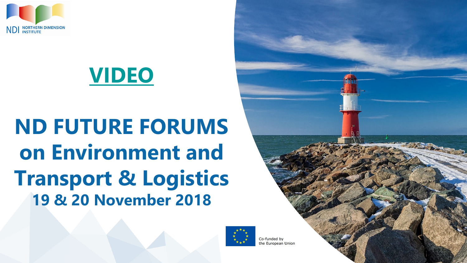

# **[VIDEO](https://vimeo.com/311782414)**

# **ND FUTURE FORUMS on Environment and Transport & Logistics 19 & 20 November 2018**